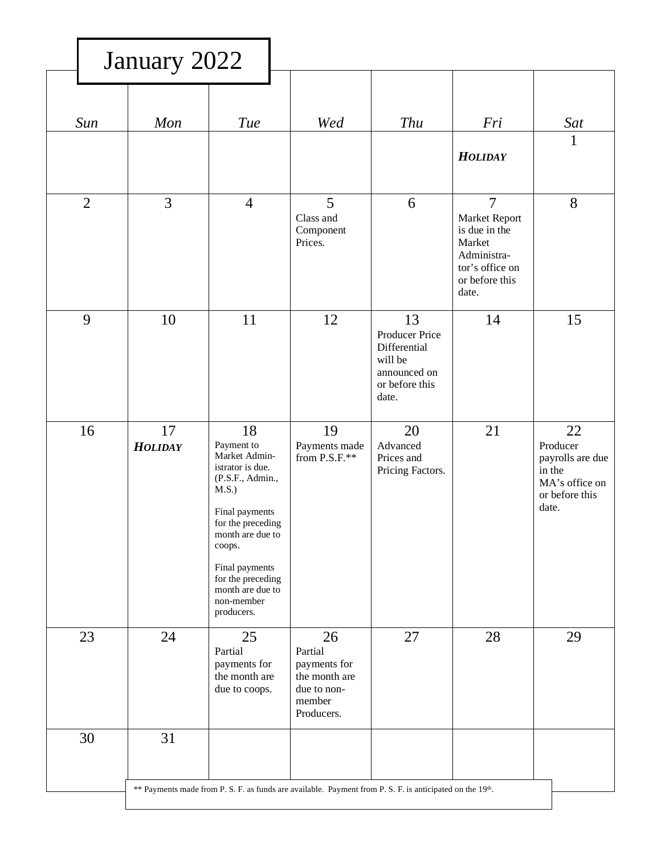|                | January 2022         |                                                                                                                                                                                                                                                |                                                                                                          |                                                                                            |                                                                                                                         |                                                                                           |
|----------------|----------------------|------------------------------------------------------------------------------------------------------------------------------------------------------------------------------------------------------------------------------------------------|----------------------------------------------------------------------------------------------------------|--------------------------------------------------------------------------------------------|-------------------------------------------------------------------------------------------------------------------------|-------------------------------------------------------------------------------------------|
| Sun            | Mon                  | <b>Tue</b>                                                                                                                                                                                                                                     | Wed                                                                                                      | <b>Thu</b>                                                                                 | Fri<br><b>HOLIDAY</b>                                                                                                   | Sat<br>1                                                                                  |
| $\overline{2}$ | 3                    | $\overline{4}$                                                                                                                                                                                                                                 | 5<br>Class and<br>Component<br>Prices.                                                                   | 6                                                                                          | $\overline{7}$<br>Market Report<br>is due in the<br>Market<br>Administra-<br>tor's office on<br>or before this<br>date. | 8                                                                                         |
| 9              | 10                   | 11                                                                                                                                                                                                                                             | 12                                                                                                       | 13<br>Producer Price<br>Differential<br>will be<br>announced on<br>or before this<br>date. | 14                                                                                                                      | 15                                                                                        |
| 16             | 17<br><b>HOLIDAY</b> | 18<br>Payment to<br>Market Admin-<br>istrator is due.<br>(P.S.F., Admin.,<br>M.S.)<br>Final payments<br>for the preceding<br>month are due to<br>coops.<br>Final payments<br>for the preceding<br>month are due to<br>non-member<br>producers. | 19<br>Payments made<br>from P.S.F.**                                                                     | 20<br>Advanced<br>Prices and<br>Pricing Factors.                                           | 21                                                                                                                      | 22<br>Producer<br>payrolls are due<br>in the<br>MA's office on<br>or before this<br>date. |
| 23             | 24                   | 25<br>Partial<br>payments for<br>the month are<br>due to coops.                                                                                                                                                                                | 26<br>Partial<br>payments for<br>the month are<br>due to non-<br>member<br>Producers.                    | 27                                                                                         | 28                                                                                                                      | 29                                                                                        |
| 30             | 31                   |                                                                                                                                                                                                                                                | ** Payments made from P. S. F. as funds are available. Payment from P. S. F. is anticipated on the 19th. |                                                                                            |                                                                                                                         |                                                                                           |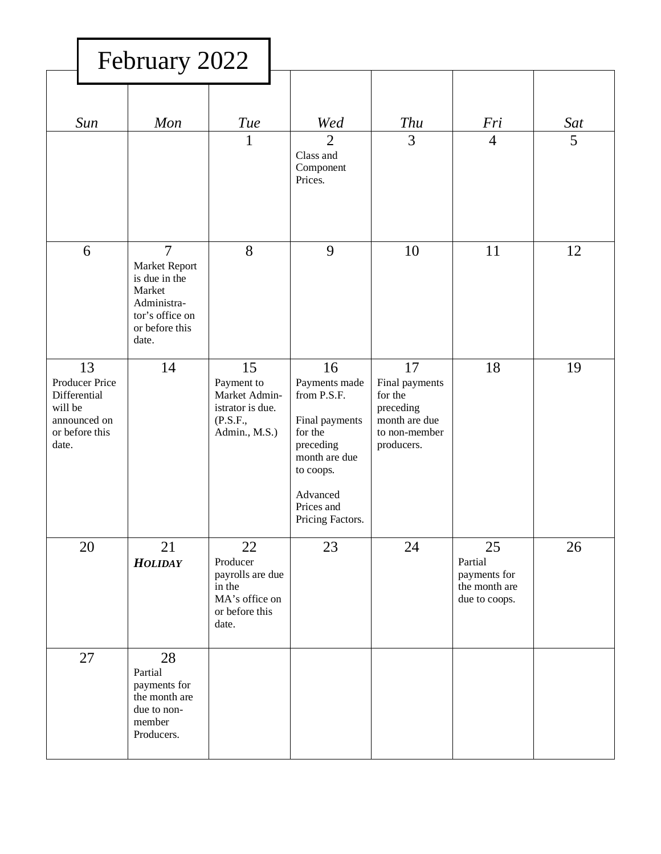|                                                                                            | February 2022                                                                                                           |                                                                                           |                                                                                                                                                          |                                                                                              |                                                                 |                       |
|--------------------------------------------------------------------------------------------|-------------------------------------------------------------------------------------------------------------------------|-------------------------------------------------------------------------------------------|----------------------------------------------------------------------------------------------------------------------------------------------------------|----------------------------------------------------------------------------------------------|-----------------------------------------------------------------|-----------------------|
| Sun                                                                                        | Mon                                                                                                                     | <b>Tue</b><br>$\mathbf{1}$                                                                | Wed<br>$\overline{2}$<br>Class and                                                                                                                       | <b>Thu</b><br>$\overline{3}$                                                                 | Fri<br>$\overline{4}$                                           | Sat<br>5 <sup>5</sup> |
|                                                                                            |                                                                                                                         |                                                                                           | Component<br>Prices.                                                                                                                                     |                                                                                              |                                                                 |                       |
| 6                                                                                          | $\overline{7}$<br>Market Report<br>is due in the<br>Market<br>Administra-<br>tor's office on<br>or before this<br>date. | 8                                                                                         | 9                                                                                                                                                        | 10                                                                                           | 11                                                              | 12                    |
| 13<br>Producer Price<br>Differential<br>will be<br>announced on<br>or before this<br>date. | 14                                                                                                                      | 15<br>Payment to<br>Market Admin-<br>istrator is due.<br>(P.S.F.,<br>Admin., M.S.)        | 16<br>Payments made<br>from P.S.F.<br>Final payments<br>for the<br>preceding<br>month are due<br>to coops.<br>Advanced<br>Prices and<br>Pricing Factors. | 17<br>Final payments<br>for the<br>preceding<br>month are due<br>to non-member<br>producers. | 18                                                              | 19                    |
| 20                                                                                         | 21<br><b>HOLIDAY</b>                                                                                                    | 22<br>Producer<br>payrolls are due<br>in the<br>MA's office on<br>or before this<br>date. | 23                                                                                                                                                       | 24                                                                                           | 25<br>Partial<br>payments for<br>the month are<br>due to coops. | 26                    |
| 27                                                                                         | 28<br>Partial<br>payments for<br>the month are<br>due to non-<br>member<br>Producers.                                   |                                                                                           |                                                                                                                                                          |                                                                                              |                                                                 |                       |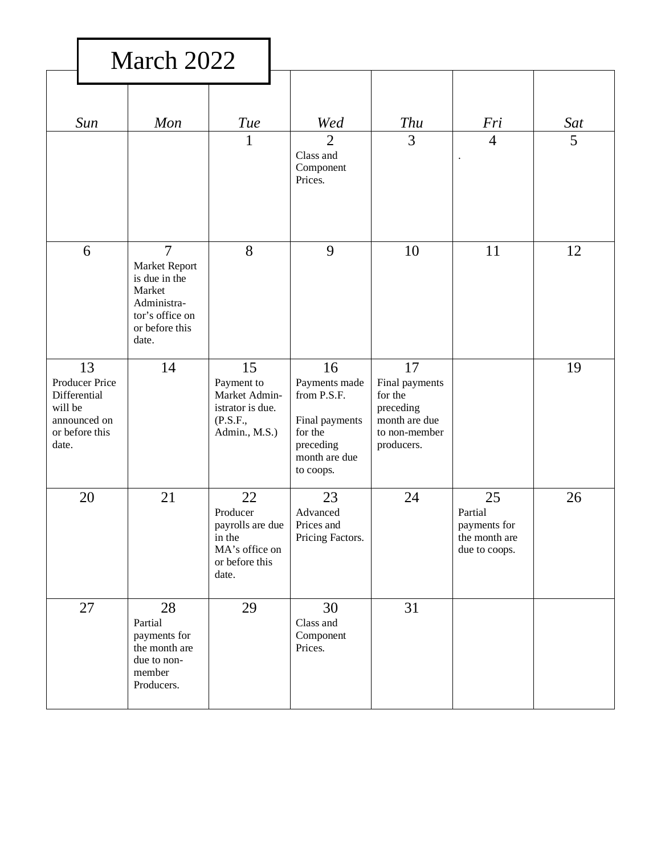|                                                                                            | March 2022                                                                                                     |                                                                                           |                                                                                                            |                                                                                              |                                                                 |          |
|--------------------------------------------------------------------------------------------|----------------------------------------------------------------------------------------------------------------|-------------------------------------------------------------------------------------------|------------------------------------------------------------------------------------------------------------|----------------------------------------------------------------------------------------------|-----------------------------------------------------------------|----------|
| Sun                                                                                        | Mon                                                                                                            | Tue<br>1                                                                                  | Wed<br>$\overline{2}$<br>Class and<br>Component<br>Prices.                                                 | <b>Thu</b><br>3                                                                              | Fri<br>$\overline{4}$<br>$\ddot{\phantom{a}}$                   | Sat<br>5 |
| 6                                                                                          | $\overline{7}$<br>Market Report<br>is due in the<br>Market<br>Administra-<br>tor's office on<br>or before this | 8                                                                                         | 9                                                                                                          | 10                                                                                           | 11                                                              | 12       |
| 13<br>Producer Price<br>Differential<br>will be<br>announced on<br>or before this<br>date. | date.<br>14                                                                                                    | 15<br>Payment to<br>Market Admin-<br>istrator is due.<br>(P.S.F.,<br>Admin., M.S.)        | 16<br>Payments made<br>from P.S.F.<br>Final payments<br>for the<br>preceding<br>month are due<br>to coops. | 17<br>Final payments<br>for the<br>preceding<br>month are due<br>to non-member<br>producers. |                                                                 | 19       |
| 20                                                                                         | 21                                                                                                             | 22<br>Producer<br>payrolls are due<br>in the<br>MA's office on<br>or before this<br>date. | 23<br>Advanced<br>Prices and<br>Pricing Factors.                                                           | 24                                                                                           | 25<br>Partial<br>payments for<br>the month are<br>due to coops. | 26       |
| 27                                                                                         | 28<br>Partial<br>payments for<br>the month are<br>due to non-<br>member<br>Producers.                          | 29                                                                                        | 30<br>Class and<br>Component<br>Prices.                                                                    | 31                                                                                           |                                                                 |          |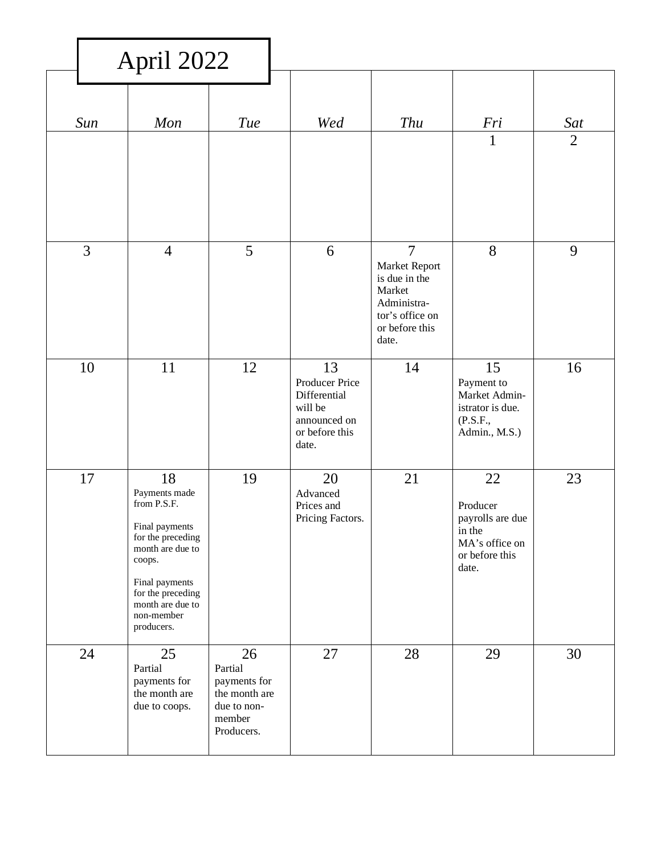|                | April 2022                                                                                                                                                                                     |                                                                                       |                                                                                            |                                                                                                                         |                                                                                           |                       |
|----------------|------------------------------------------------------------------------------------------------------------------------------------------------------------------------------------------------|---------------------------------------------------------------------------------------|--------------------------------------------------------------------------------------------|-------------------------------------------------------------------------------------------------------------------------|-------------------------------------------------------------------------------------------|-----------------------|
| Sun            | Mon                                                                                                                                                                                            | <b>Tue</b>                                                                            | Wed                                                                                        | <b>Thu</b>                                                                                                              | Fri<br>$\mathbf{1}$                                                                       | Sat<br>$\overline{2}$ |
|                |                                                                                                                                                                                                |                                                                                       |                                                                                            |                                                                                                                         |                                                                                           |                       |
| $\overline{3}$ | $\overline{4}$                                                                                                                                                                                 | 5                                                                                     | 6                                                                                          | $\overline{7}$<br>Market Report<br>is due in the<br>Market<br>Administra-<br>tor's office on<br>or before this<br>date. | 8                                                                                         | 9                     |
| 10             | 11                                                                                                                                                                                             | 12                                                                                    | 13<br>Producer Price<br>Differential<br>will be<br>announced on<br>or before this<br>date. | 14                                                                                                                      | 15<br>Payment to<br>Market Admin-<br>istrator is due.<br>(P.S.F.,<br>Admin., M.S.)        | 16                    |
| 17             | 18<br>Payments made<br>from P.S.F.<br>Final payments<br>for the preceding<br>month are due to<br>coops.<br>Final payments<br>for the preceding<br>month are due to<br>non-member<br>producers. | 19                                                                                    | 20<br>Advanced<br>Prices and<br>Pricing Factors.                                           | 21                                                                                                                      | 22<br>Producer<br>payrolls are due<br>in the<br>MA's office on<br>or before this<br>date. | 23                    |
| 24             | 25<br>Partial<br>payments for<br>the month are<br>due to coops.                                                                                                                                | 26<br>Partial<br>payments for<br>the month are<br>due to non-<br>member<br>Producers. | 27                                                                                         | 28                                                                                                                      | 29                                                                                        | 30                    |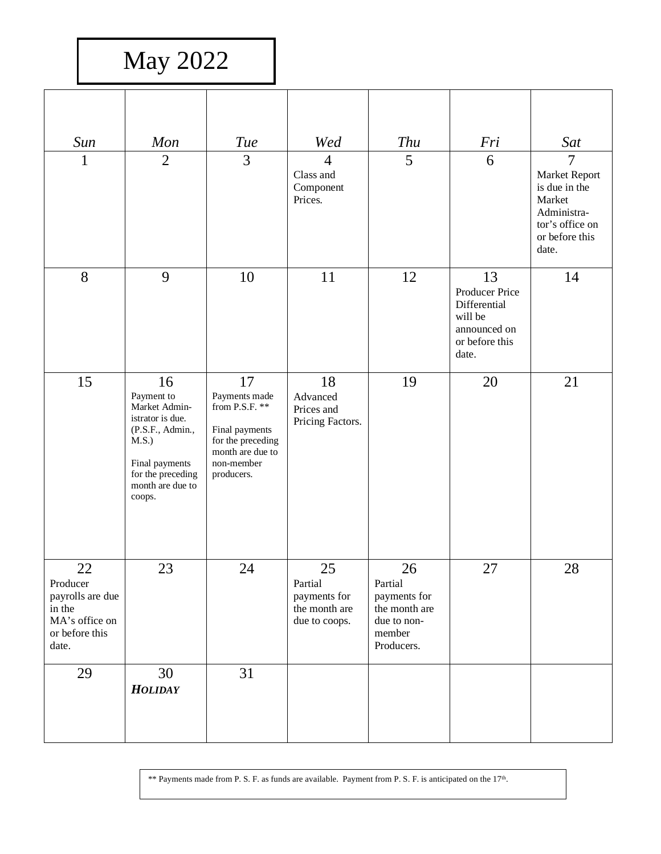May 2022

| Sun                                                                                       | Mon                                                                                                                                                     | <b>Tue</b>                                                                                                                     | Wed                                                             | <b>Thu</b>                                                                            | Fri                                                                                        | Sat                                                                                                                     |
|-------------------------------------------------------------------------------------------|---------------------------------------------------------------------------------------------------------------------------------------------------------|--------------------------------------------------------------------------------------------------------------------------------|-----------------------------------------------------------------|---------------------------------------------------------------------------------------|--------------------------------------------------------------------------------------------|-------------------------------------------------------------------------------------------------------------------------|
| 1                                                                                         | $\overline{2}$                                                                                                                                          | 3                                                                                                                              | $\overline{4}$<br>Class and<br>Component<br>Prices.             | $5\overline{)}$                                                                       | 6                                                                                          | $\overline{7}$<br>Market Report<br>is due in the<br>Market<br>Administra-<br>tor's office on<br>or before this<br>date. |
| 8                                                                                         | 9                                                                                                                                                       | 10                                                                                                                             | 11                                                              | 12                                                                                    | 13<br>Producer Price<br>Differential<br>will be<br>announced on<br>or before this<br>date. | 14                                                                                                                      |
| 15                                                                                        | 16<br>Payment to<br>Market Admin-<br>istrator is due.<br>(P.S.F., Admin.,<br>M.S.)<br>Final payments<br>for the preceding<br>month are due to<br>coops. | 17<br>Payments made<br>from P.S.F. $**$<br>Final payments<br>for the preceding<br>month are due to<br>non-member<br>producers. | 18<br>Advanced<br>Prices and<br>Pricing Factors.                | 19                                                                                    | 20                                                                                         | 21                                                                                                                      |
| 22<br>Producer<br>payrolls are due<br>in the<br>MA's office on<br>or before this<br>date. | 23                                                                                                                                                      | 24                                                                                                                             | 25<br>Partial<br>payments for<br>the month are<br>due to coops. | 26<br>Partial<br>payments for<br>the month are<br>due to non-<br>member<br>Producers. | 27                                                                                         | 28                                                                                                                      |
| 29                                                                                        | 30<br><b>HOLIDAY</b>                                                                                                                                    | 31                                                                                                                             |                                                                 |                                                                                       |                                                                                            |                                                                                                                         |

\*\* Payments made from P. S. F. as funds are available. Payment from P. S. F. is anticipated on the  $17<sup>th</sup>$ .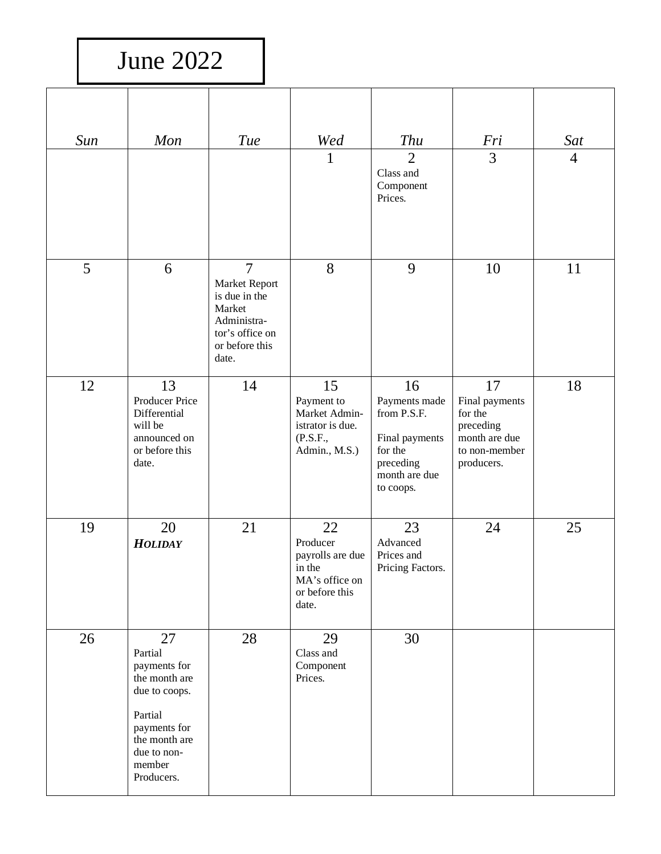## June 2022

| Sun | Mon                                                                                                                                                | <b>Tue</b>                                                                                                              | Wed<br>1                                                                                  | <b>Thu</b><br>$\overline{2}$<br>Class and<br>Component<br>Prices.                                          | Fri<br>3                                                                                     | Sat<br>$\overline{4}$ |
|-----|----------------------------------------------------------------------------------------------------------------------------------------------------|-------------------------------------------------------------------------------------------------------------------------|-------------------------------------------------------------------------------------------|------------------------------------------------------------------------------------------------------------|----------------------------------------------------------------------------------------------|-----------------------|
| 5   | 6                                                                                                                                                  | $\overline{7}$<br>Market Report<br>is due in the<br>Market<br>Administra-<br>tor's office on<br>or before this<br>date. | 8                                                                                         | 9                                                                                                          | 10                                                                                           | 11                    |
| 12  | 13<br>Producer Price<br>Differential<br>will be<br>announced on<br>or before this<br>date.                                                         | 14                                                                                                                      | 15<br>Payment to<br>Market Admin-<br>istrator is due.<br>(P.S.F.,<br>Admin., M.S.)        | 16<br>Payments made<br>from P.S.F.<br>Final payments<br>for the<br>preceding<br>month are due<br>to coops. | 17<br>Final payments<br>for the<br>preceding<br>month are due<br>to non-member<br>producers. | 18                    |
| 19  | 20<br><b>HOLIDAY</b>                                                                                                                               | 21                                                                                                                      | 22<br>Producer<br>payrolls are due<br>in the<br>MA's office on<br>or before this<br>date. | 23<br>Advanced<br>Prices and<br>Pricing Factors.                                                           | 24                                                                                           | 25                    |
| 26  | 27<br>Partial<br>payments for<br>the month are<br>due to coops.<br>Partial<br>payments for<br>the month are<br>due to non-<br>member<br>Producers. | 28                                                                                                                      | 29<br>Class and<br>Component<br>Prices.                                                   | 30                                                                                                         |                                                                                              |                       |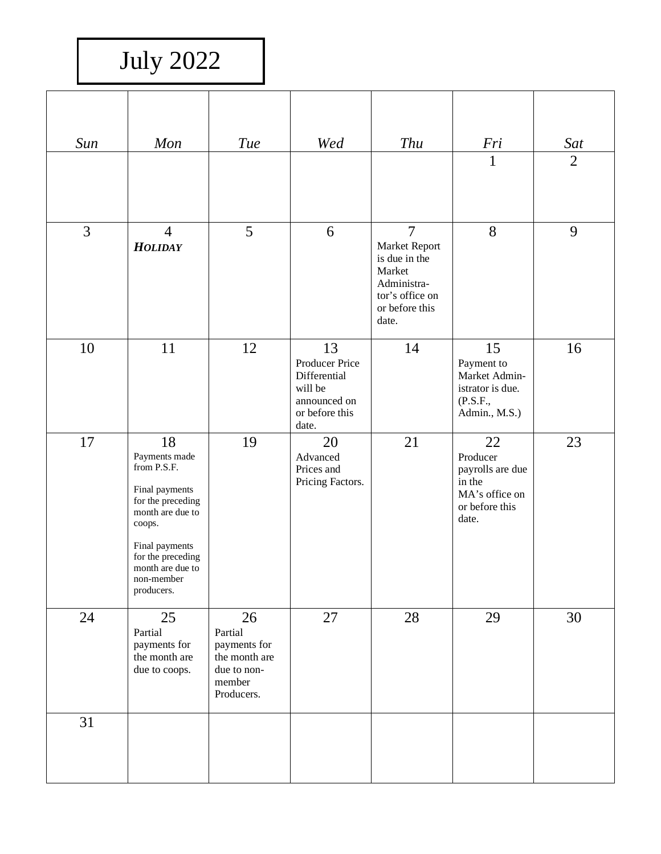July 2022

| Sun            | Mon                                                                                                                                                                                            | <b>Tue</b>                                                                            | Wed                                                                                        | <b>Thu</b>                                                                                                              | Fri                                                                                       | Sat            |
|----------------|------------------------------------------------------------------------------------------------------------------------------------------------------------------------------------------------|---------------------------------------------------------------------------------------|--------------------------------------------------------------------------------------------|-------------------------------------------------------------------------------------------------------------------------|-------------------------------------------------------------------------------------------|----------------|
|                |                                                                                                                                                                                                |                                                                                       |                                                                                            |                                                                                                                         | $\mathbf{1}$                                                                              | $\overline{2}$ |
| $\overline{3}$ | $\overline{4}$<br><b>HOLIDAY</b>                                                                                                                                                               | 5                                                                                     | 6                                                                                          | $\overline{7}$<br>Market Report<br>is due in the<br>Market<br>Administra-<br>tor's office on<br>or before this<br>date. | 8                                                                                         | 9              |
| 10             | 11                                                                                                                                                                                             | 12                                                                                    | 13<br>Producer Price<br>Differential<br>will be<br>announced on<br>or before this<br>date. | 14                                                                                                                      | 15<br>Payment to<br>Market Admin-<br>istrator is due.<br>(P.S.F.,<br>Admin., M.S.)        | 16             |
| 17             | 18<br>Payments made<br>from P.S.F.<br>Final payments<br>for the preceding<br>month are due to<br>coops.<br>Final payments<br>for the preceding<br>month are due to<br>non-member<br>producers. | 19                                                                                    | 20<br>Advanced<br>Prices and<br>Pricing Factors.                                           | 21                                                                                                                      | 22<br>Producer<br>payrolls are due<br>in the<br>MA's office on<br>or before this<br>date. | 23             |
| 24             | 25<br>Partial<br>payments for<br>the month are<br>due to coops.                                                                                                                                | 26<br>Partial<br>payments for<br>the month are<br>due to non-<br>member<br>Producers. | 27                                                                                         | 28                                                                                                                      | 29                                                                                        | 30             |
| 31             |                                                                                                                                                                                                |                                                                                       |                                                                                            |                                                                                                                         |                                                                                           |                |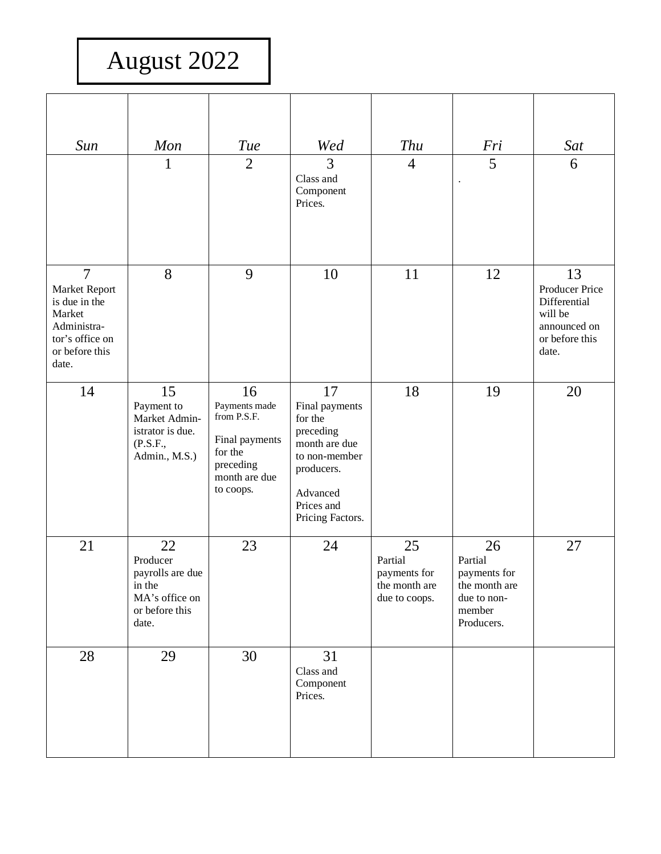## August 2022

| Sun                                                                                                                     | Mon                                                                                       | Tue                                                                                                        | Wed                                                                                                                                        | <b>Thu</b>                                                      | Fri                                                                                   | Sat                                                                                        |
|-------------------------------------------------------------------------------------------------------------------------|-------------------------------------------------------------------------------------------|------------------------------------------------------------------------------------------------------------|--------------------------------------------------------------------------------------------------------------------------------------------|-----------------------------------------------------------------|---------------------------------------------------------------------------------------|--------------------------------------------------------------------------------------------|
|                                                                                                                         | $\mathbf{1}$                                                                              | $\overline{2}$                                                                                             | 3<br>Class and<br>Component<br>Prices.                                                                                                     | $\overline{4}$                                                  | 5<br>$\ddot{\phantom{a}}$                                                             | 6                                                                                          |
| $\overline{7}$<br>Market Report<br>is due in the<br>Market<br>Administra-<br>tor's office on<br>or before this<br>date. | 8                                                                                         | 9                                                                                                          | 10                                                                                                                                         | 11                                                              | 12                                                                                    | 13<br>Producer Price<br>Differential<br>will be<br>announced on<br>or before this<br>date. |
| 14                                                                                                                      | 15<br>Payment to<br>Market Admin-<br>istrator is due.<br>(P.S.F.,<br>Admin., M.S.)        | 16<br>Payments made<br>from P.S.F.<br>Final payments<br>for the<br>preceding<br>month are due<br>to coops. | 17<br>Final payments<br>for the<br>preceding<br>month are due<br>to non-member<br>producers.<br>Advanced<br>Prices and<br>Pricing Factors. | 18                                                              | 19                                                                                    | 20                                                                                         |
| 21                                                                                                                      | 22<br>Producer<br>payrolls are due<br>in the<br>MA's office on<br>or before this<br>date. | 23                                                                                                         | 24                                                                                                                                         | 25<br>Partial<br>payments for<br>the month are<br>due to coops. | 26<br>Partial<br>payments for<br>the month are<br>due to non-<br>member<br>Producers. | 27                                                                                         |
| 28                                                                                                                      | 29                                                                                        | 30                                                                                                         | 31<br>Class and<br>Component<br>Prices.                                                                                                    |                                                                 |                                                                                       |                                                                                            |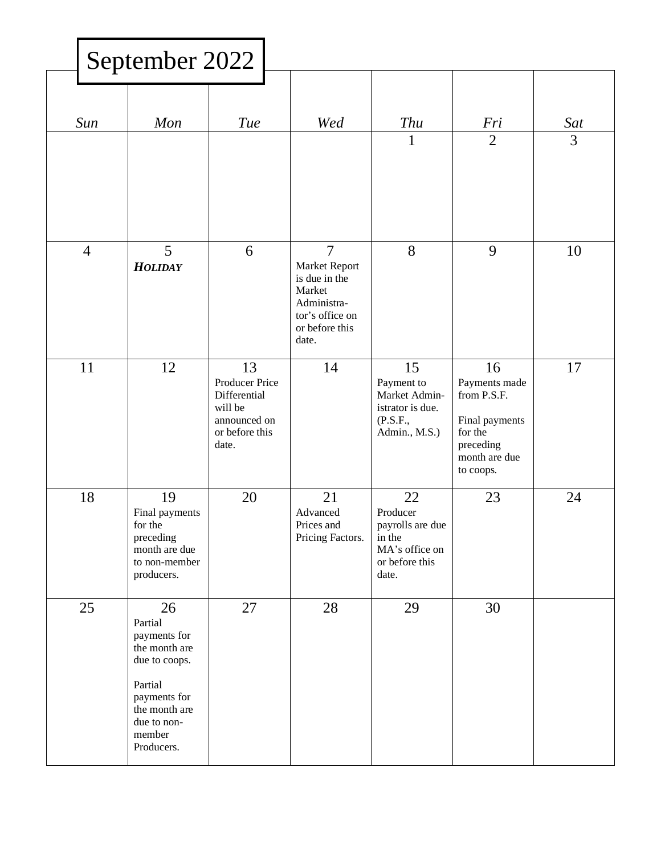|                | September 2022                                                                                                                                     |                                                                                            |                                                                                                                         |                                                                                           |                                                                                                            |                       |
|----------------|----------------------------------------------------------------------------------------------------------------------------------------------------|--------------------------------------------------------------------------------------------|-------------------------------------------------------------------------------------------------------------------------|-------------------------------------------------------------------------------------------|------------------------------------------------------------------------------------------------------------|-----------------------|
| Sun            | Mon                                                                                                                                                | <b>Tue</b>                                                                                 | Wed                                                                                                                     | <b>Thu</b><br>$\mathbf{1}$                                                                | Fri<br>$\overline{2}$                                                                                      | Sat<br>$\overline{3}$ |
| $\overline{4}$ | 5<br><b>HOLIDAY</b>                                                                                                                                | 6                                                                                          | $\overline{7}$<br>Market Report<br>is due in the<br>Market<br>Administra-<br>tor's office on<br>or before this<br>date. | 8                                                                                         | 9                                                                                                          | 10                    |
| 11             | 12                                                                                                                                                 | 13<br>Producer Price<br>Differential<br>will be<br>announced on<br>or before this<br>date. | 14                                                                                                                      | 15<br>Payment to<br>Market Admin-<br>istrator is due.<br>(P.S.F.,<br>Admin., M.S.)        | 16<br>Payments made<br>from P.S.F.<br>Final payments<br>for the<br>preceding<br>month are due<br>to coops. | 17                    |
| 18             | 19<br>Final payments<br>for the<br>preceding<br>month are due<br>to non-member<br>producers.                                                       | 20                                                                                         | 21<br>Advanced<br>Prices and<br>Pricing Factors.                                                                        | 22<br>Producer<br>payrolls are due<br>in the<br>MA's office on<br>or before this<br>date. | 23                                                                                                         | 24                    |
| 25             | 26<br>Partial<br>payments for<br>the month are<br>due to coops.<br>Partial<br>payments for<br>the month are<br>due to non-<br>member<br>Producers. | 27                                                                                         | 28                                                                                                                      | 29                                                                                        | 30                                                                                                         |                       |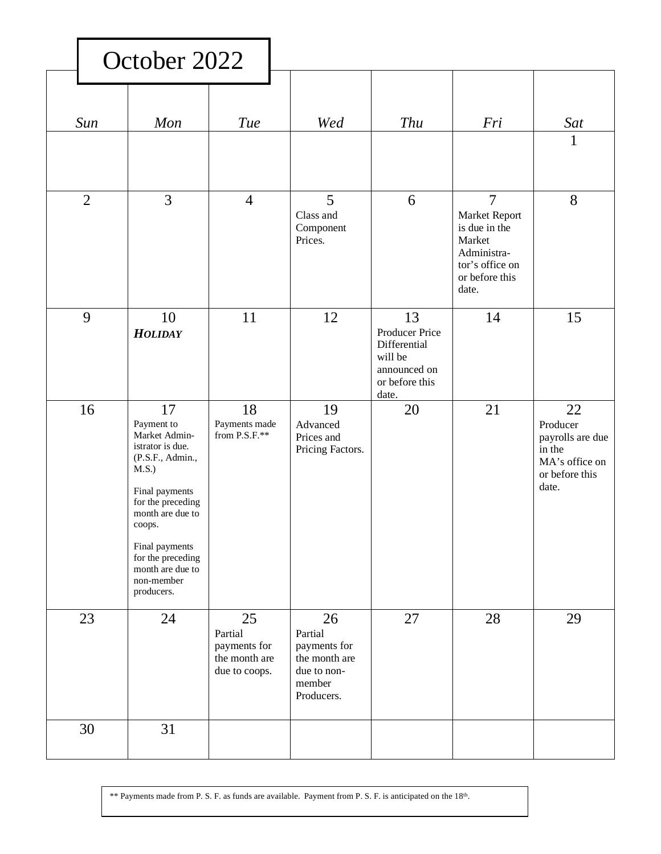| October 2022   |                                                                                                                                                                                                                                                |                                                                 |                                                                                       |                                                                                            |                                                                                                                         |                                                                                           |
|----------------|------------------------------------------------------------------------------------------------------------------------------------------------------------------------------------------------------------------------------------------------|-----------------------------------------------------------------|---------------------------------------------------------------------------------------|--------------------------------------------------------------------------------------------|-------------------------------------------------------------------------------------------------------------------------|-------------------------------------------------------------------------------------------|
| Sun            | Mon                                                                                                                                                                                                                                            | <b>Tue</b>                                                      | Wed                                                                                   | <b>Thu</b>                                                                                 | Fri                                                                                                                     | Sat<br>1                                                                                  |
| $\overline{2}$ | $\overline{3}$                                                                                                                                                                                                                                 | $\overline{4}$                                                  | 5<br>Class and<br>Component<br>Prices.                                                | 6                                                                                          | $\overline{7}$<br>Market Report<br>is due in the<br>Market<br>Administra-<br>tor's office on<br>or before this<br>date. | 8                                                                                         |
| 9              | 10<br><b>HOLIDAY</b>                                                                                                                                                                                                                           | 11                                                              | 12                                                                                    | 13<br>Producer Price<br>Differential<br>will be<br>announced on<br>or before this<br>date. | 14                                                                                                                      | 15                                                                                        |
| 16             | 17<br>Payment to<br>Market Admin-<br>istrator is due.<br>(P.S.F., Admin.,<br>M.S.)<br>Final payments<br>for the preceding<br>month are due to<br>coops.<br>Final payments<br>for the preceding<br>month are due to<br>non-member<br>producers. | 18<br>Payments made<br>from P.S.F.**                            | 19<br>Advanced<br>Prices and<br>Pricing Factors.                                      | 20                                                                                         | 21                                                                                                                      | 22<br>Producer<br>payrolls are due<br>in the<br>MA's office on<br>or before this<br>date. |
| 23             | 24                                                                                                                                                                                                                                             | 25<br>Partial<br>payments for<br>the month are<br>due to coops. | 26<br>Partial<br>payments for<br>the month are<br>due to non-<br>member<br>Producers. | 27                                                                                         | 28                                                                                                                      | 29                                                                                        |
| 30             | 31                                                                                                                                                                                                                                             |                                                                 |                                                                                       |                                                                                            |                                                                                                                         |                                                                                           |

\*\* Payments made from P. S. F. as funds are available. Payment from P. S. F. is anticipated on the  $18<sup>th</sup>$ .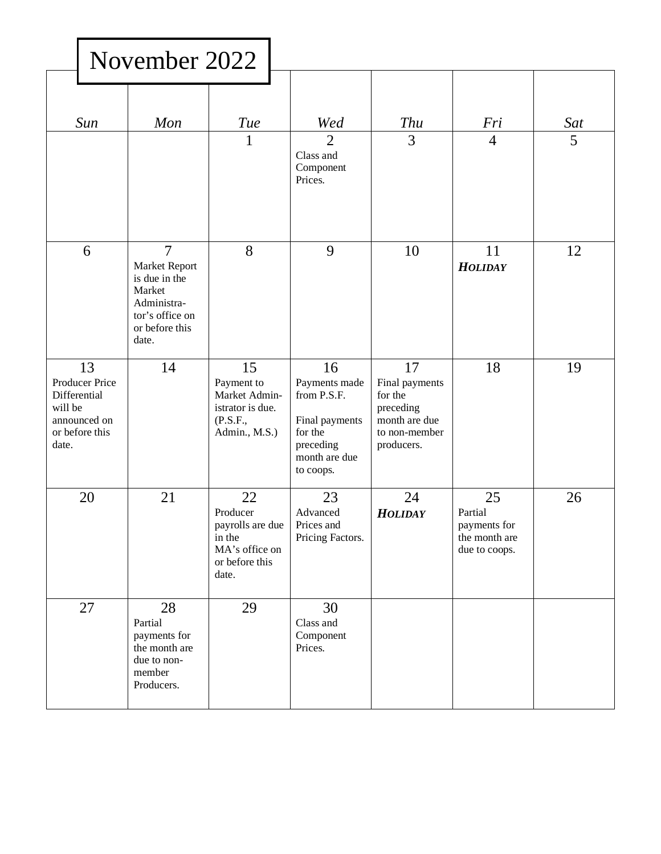|                                                                                            | November 2022                                                                                                           |                                                                                           |                                                                                                            |                                                                                              |                                                                 |          |
|--------------------------------------------------------------------------------------------|-------------------------------------------------------------------------------------------------------------------------|-------------------------------------------------------------------------------------------|------------------------------------------------------------------------------------------------------------|----------------------------------------------------------------------------------------------|-----------------------------------------------------------------|----------|
| Sun                                                                                        | Mon                                                                                                                     | <b>Tue</b><br>$\mathbf{1}$                                                                | Wed<br>$\overline{2}$                                                                                      | <b>Thu</b><br>$\overline{3}$                                                                 | Fri<br>$\overline{4}$                                           | Sat<br>5 |
|                                                                                            |                                                                                                                         |                                                                                           | Class and<br>Component<br>Prices.                                                                          |                                                                                              |                                                                 |          |
| 6                                                                                          | $\overline{7}$<br>Market Report<br>is due in the<br>Market<br>Administra-<br>tor's office on<br>or before this<br>date. | 8                                                                                         | 9                                                                                                          | 10                                                                                           | 11<br><b>HOLIDAY</b>                                            | 12       |
| 13<br>Producer Price<br>Differential<br>will be<br>announced on<br>or before this<br>date. | 14                                                                                                                      | 15<br>Payment to<br>Market Admin-<br>istrator is due.<br>(P.S.F.,<br>Admin., M.S.)        | 16<br>Payments made<br>from P.S.F.<br>Final payments<br>for the<br>preceding<br>month are due<br>to coops. | 17<br>Final payments<br>for the<br>preceding<br>month are due<br>to non-member<br>producers. | 18                                                              | 19       |
| 20                                                                                         | 21                                                                                                                      | 22<br>Producer<br>payrolls are due<br>in the<br>MA's office on<br>or before this<br>date. | 23<br>Advanced<br>Prices and<br>Pricing Factors.                                                           | 24<br><b>HOLIDAY</b>                                                                         | 25<br>Partial<br>payments for<br>the month are<br>due to coops. | 26       |
| 27                                                                                         | 28<br>Partial<br>payments for<br>the month are<br>due to non-<br>member<br>Producers.                                   | 29                                                                                        | 30<br>Class and<br>Component<br>Prices.                                                                    |                                                                                              |                                                                 |          |